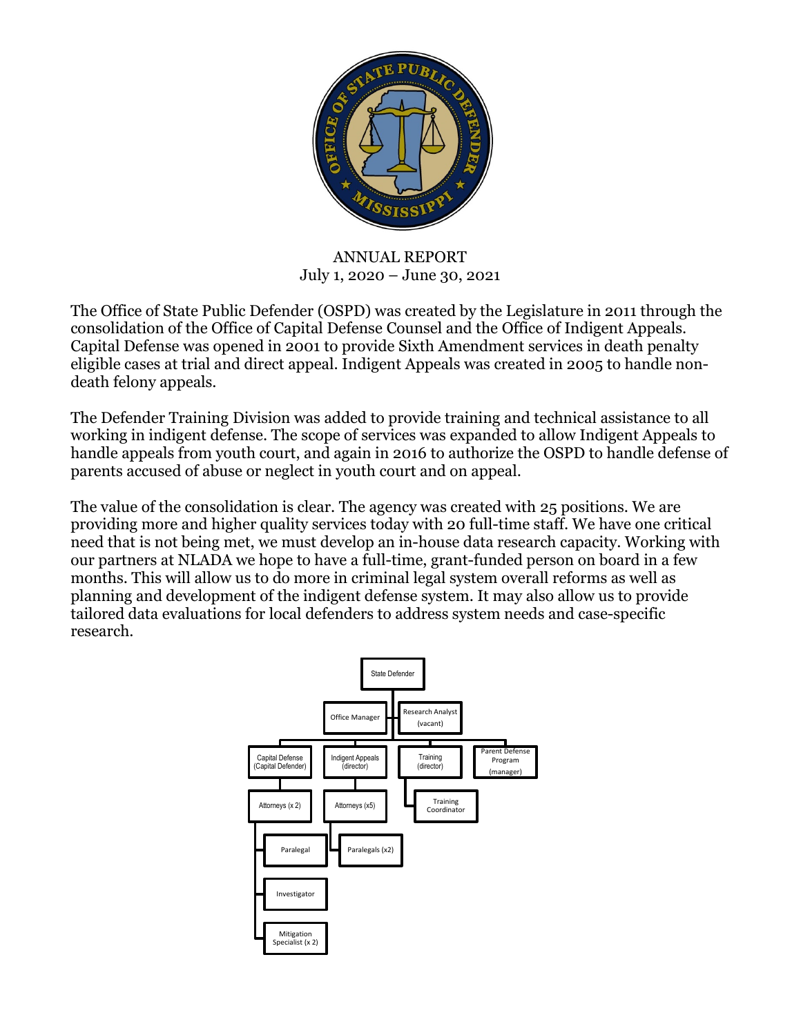

ANNUAL REPORT July 1, 2020 – June 30, 2021

The Office of State Public Defender (OSPD) was created by the Legislature in 2011 through the consolidation of the Office of Capital Defense Counsel and the Office of Indigent Appeals. Capital Defense was opened in 2001 to provide Sixth Amendment services in death penalty eligible cases at trial and direct appeal. Indigent Appeals was created in 2005 to handle nondeath felony appeals.

The Defender Training Division was added to provide training and technical assistance to all working in indigent defense. The scope of services was expanded to allow Indigent Appeals to handle appeals from youth court, and again in 2016 to authorize the OSPD to handle defense of parents accused of abuse or neglect in youth court and on appeal.

The value of the consolidation is clear. The agency was created with 25 positions. We are providing more and higher quality services today with 20 full-time staff. We have one critical need that is not being met, we must develop an in-house data research capacity. Working with our partners at NLADA we hope to have a full-time, grant-funded person on board in a few months. This will allow us to do more in criminal legal system overall reforms as well as planning and development of the indigent defense system. It may also allow us to provide tailored data evaluations for local defenders to address system needs and case-specific research.

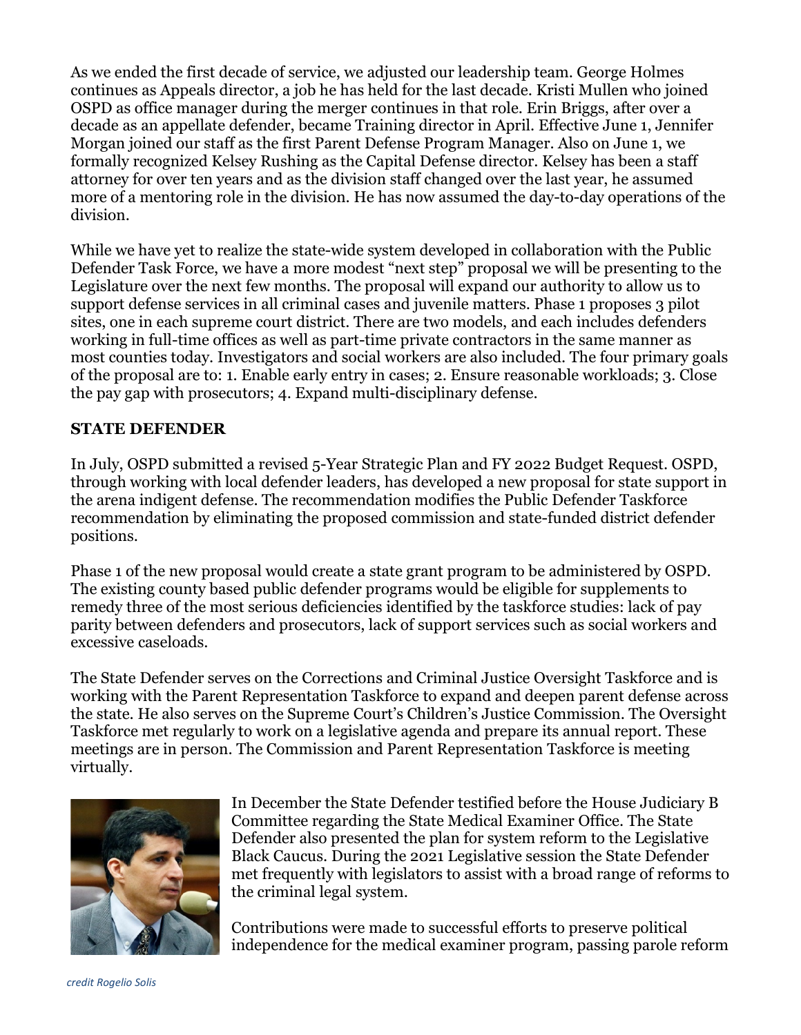As we ended the first decade of service, we adjusted our leadership team. George Holmes continues as Appeals director, a job he has held for the last decade. Kristi Mullen who joined OSPD as office manager during the merger continues in that role. Erin Briggs, after over a decade as an appellate defender, became Training director in April. Effective June 1, Jennifer Morgan joined our staff as the first Parent Defense Program Manager. Also on June 1, we formally recognized Kelsey Rushing as the Capital Defense director. Kelsey has been a staff attorney for over ten years and as the division staff changed over the last year, he assumed more of a mentoring role in the division. He has now assumed the day-to-day operations of the division.

While we have yet to realize the state-wide system developed in collaboration with the Public Defender Task Force, we have a more modest "next step" proposal we will be presenting to the Legislature over the next few months. The proposal will expand our authority to allow us to support defense services in all criminal cases and juvenile matters. Phase 1 proposes 3 pilot sites, one in each supreme court district. There are two models, and each includes defenders working in full-time offices as well as part-time private contractors in the same manner as most counties today. Investigators and social workers are also included. The four primary goals of the proposal are to: 1. Enable early entry in cases; 2. Ensure reasonable workloads; 3. Close the pay gap with prosecutors; 4. Expand multi-disciplinary defense.

## **STATE DEFENDER**

In July, OSPD submitted a revised 5-Year Strategic Plan and FY 2022 Budget Request. OSPD, through working with local defender leaders, has developed a new proposal for state support in the arena indigent defense. The recommendation modifies the Public Defender Taskforce recommendation by eliminating the proposed commission and state-funded district defender positions.

Phase 1 of the new proposal would create a state grant program to be administered by OSPD. The existing county based public defender programs would be eligible for supplements to remedy three of the most serious deficiencies identified by the taskforce studies: lack of pay parity between defenders and prosecutors, lack of support services such as social workers and excessive caseloads.

The State Defender serves on the Corrections and Criminal Justice Oversight Taskforce and is working with the Parent Representation Taskforce to expand and deepen parent defense across the state. He also serves on the Supreme Court's Children's Justice Commission. The Oversight Taskforce met regularly to work on a legislative agenda and prepare its annual report. These meetings are in person. The Commission and Parent Representation Taskforce is meeting virtually.



In December the State Defender testified before the House Judiciary B Committee regarding the State Medical Examiner Office. The State Defender also presented the plan for system reform to the Legislative Black Caucus. During the 2021 Legislative session the State Defender met frequently with legislators to assist with a broad range of reforms to the criminal legal system.

Contributions were made to successful efforts to preserve political independence for the medical examiner program, passing parole reform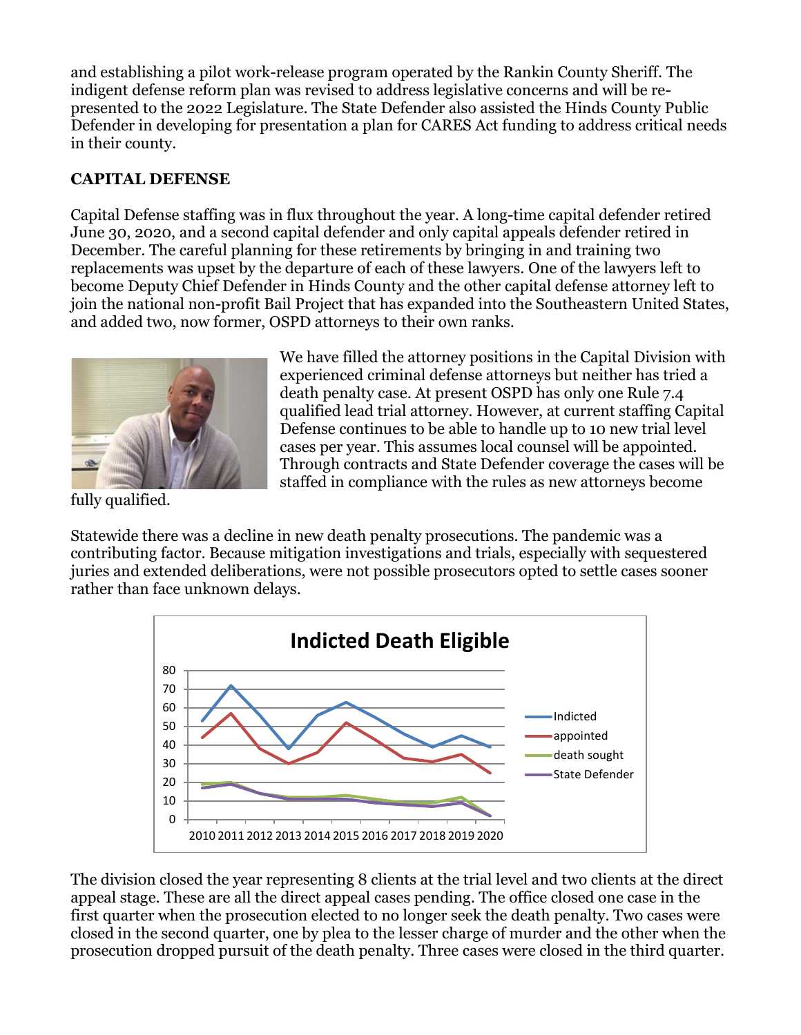and establishing a pilot work-release program operated by the Rankin County Sheriff. The indigent defense reform plan was revised to address legislative concerns and will be represented to the 2022 Legislature. The State Defender also assisted the Hinds County Public Defender in developing for presentation a plan for CARES Act funding to address critical needs in their county.

# **CAPITAL DEFENSE**

Capital Defense staffing was in flux throughout the year. A long-time capital defender retired June 30, 2020, and a second capital defender and only capital appeals defender retired in December. The careful planning for these retirements by bringing in and training two replacements was upset by the departure of each of these lawyers. One of the lawyers left to become Deputy Chief Defender in Hinds County and the other capital defense attorney left to join the national non-profit Bail Project that has expanded into the Southeastern United States, and added two, now former, OSPD attorneys to their own ranks.



We have filled the attorney positions in the Capital Division with experienced criminal defense attorneys but neither has tried a death penalty case. At present OSPD has only one Rule 7.4 qualified lead trial attorney. However, at current staffing Capital Defense continues to be able to handle up to 10 new trial level cases per year. This assumes local counsel will be appointed. Through contracts and State Defender coverage the cases will be staffed in compliance with the rules as new attorneys become

fully qualified.

Statewide there was a decline in new death penalty prosecutions. The pandemic was a contributing factor. Because mitigation investigations and trials, especially with sequestered juries and extended deliberations, were not possible prosecutors opted to settle cases sooner rather than face unknown delays.



The division closed the year representing 8 clients at the trial level and two clients at the direct appeal stage. These are all the direct appeal cases pending. The office closed one case in the first quarter when the prosecution elected to no longer seek the death penalty. Two cases were closed in the second quarter, one by plea to the lesser charge of murder and the other when the prosecution dropped pursuit of the death penalty. Three cases were closed in the third quarter.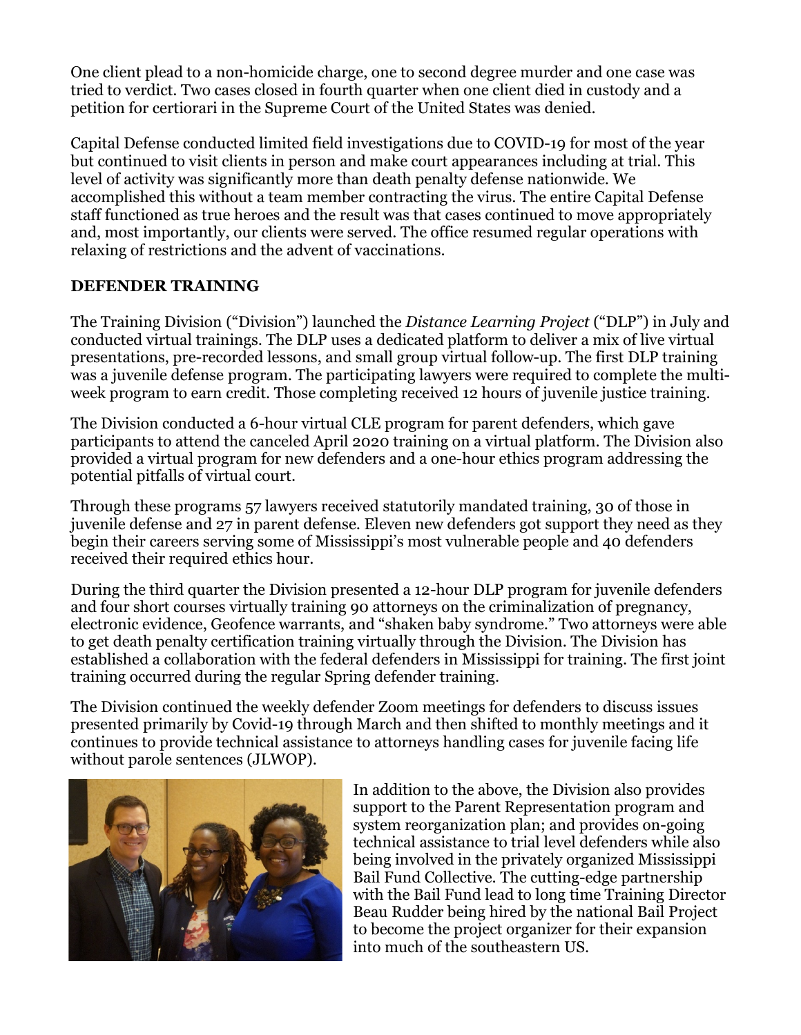One client plead to a non-homicide charge, one to second degree murder and one case was tried to verdict. Two cases closed in fourth quarter when one client died in custody and a petition for certiorari in the Supreme Court of the United States was denied.

Capital Defense conducted limited field investigations due to COVID-19 for most of the year but continued to visit clients in person and make court appearances including at trial. This level of activity was significantly more than death penalty defense nationwide. We accomplished this without a team member contracting the virus. The entire Capital Defense staff functioned as true heroes and the result was that cases continued to move appropriately and, most importantly, our clients were served. The office resumed regular operations with relaxing of restrictions and the advent of vaccinations.

### **DEFENDER TRAINING**

The Training Division ("Division") launched the *Distance Learning Project* ("DLP") in July and conducted virtual trainings. The DLP uses a dedicated platform to deliver a mix of live virtual presentations, pre-recorded lessons, and small group virtual follow-up. The first DLP training was a juvenile defense program. The participating lawyers were required to complete the multiweek program to earn credit. Those completing received 12 hours of juvenile justice training.

The Division conducted a 6-hour virtual CLE program for parent defenders, which gave participants to attend the canceled April 2020 training on a virtual platform. The Division also provided a virtual program for new defenders and a one-hour ethics program addressing the potential pitfalls of virtual court.

Through these programs 57 lawyers received statutorily mandated training, 30 of those in juvenile defense and 27 in parent defense. Eleven new defenders got support they need as they begin their careers serving some of Mississippi's most vulnerable people and 40 defenders received their required ethics hour.

During the third quarter the Division presented a 12-hour DLP program for juvenile defenders and four short courses virtually training 90 attorneys on the criminalization of pregnancy, electronic evidence, Geofence warrants, and "shaken baby syndrome." Two attorneys were able to get death penalty certification training virtually through the Division. The Division has established a collaboration with the federal defenders in Mississippi for training. The first joint training occurred during the regular Spring defender training.

The Division continued the weekly defender Zoom meetings for defenders to discuss issues presented primarily by Covid-19 through March and then shifted to monthly meetings and it continues to provide technical assistance to attorneys handling cases for juvenile facing life without parole sentences (JLWOP).



In addition to the above, the Division also provides support to the Parent Representation program and system reorganization plan; and provides on-going technical assistance to trial level defenders while also being involved in the privately organized Mississippi Bail Fund Collective. The cutting-edge partnership with the Bail Fund lead to long time Training Director Beau Rudder being hired by the national Bail Project to become the project organizer for their expansion into much of the southeastern US.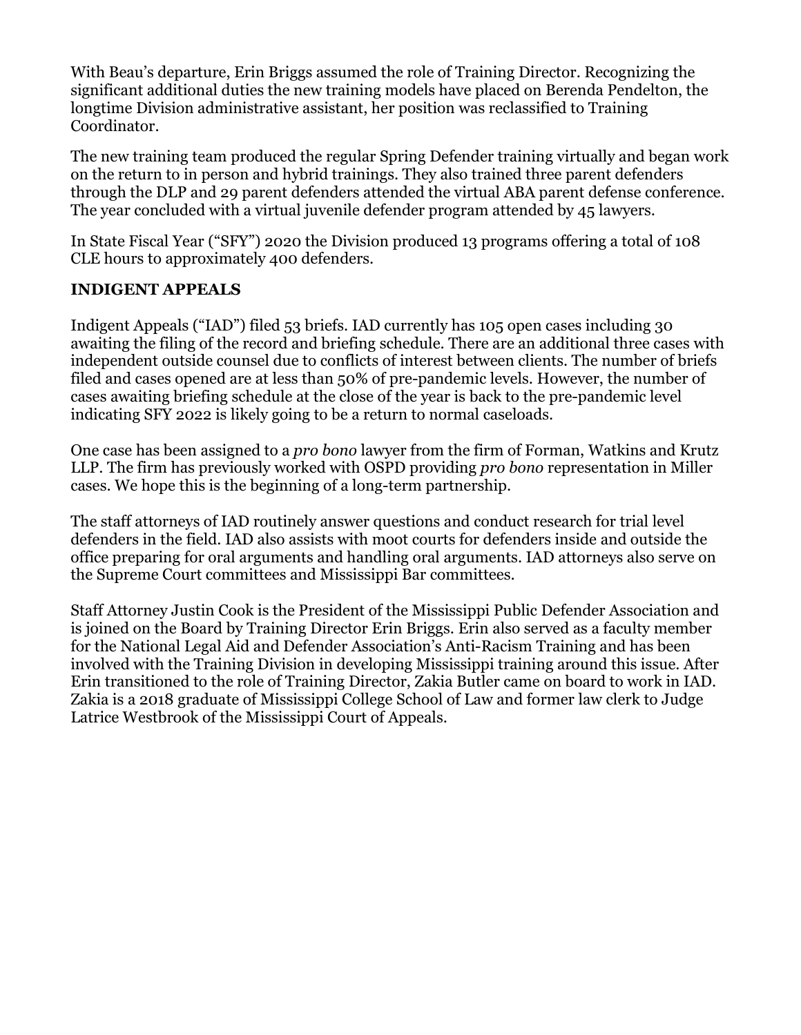With Beau's departure, Erin Briggs assumed the role of Training Director. Recognizing the significant additional duties the new training models have placed on Berenda Pendelton, the longtime Division administrative assistant, her position was reclassified to Training Coordinator.

The new training team produced the regular Spring Defender training virtually and began work on the return to in person and hybrid trainings. They also trained three parent defenders through the DLP and 29 parent defenders attended the virtual ABA parent defense conference. The year concluded with a virtual juvenile defender program attended by 45 lawyers.

In State Fiscal Year ("SFY") 2020 the Division produced 13 programs offering a total of 108 CLE hours to approximately 400 defenders.

## **INDIGENT APPEALS**

Indigent Appeals ("IAD") filed 53 briefs. IAD currently has 105 open cases including 30 awaiting the filing of the record and briefing schedule. There are an additional three cases with independent outside counsel due to conflicts of interest between clients. The number of briefs filed and cases opened are at less than 50% of pre-pandemic levels. However, the number of cases awaiting briefing schedule at the close of the year is back to the pre-pandemic level indicating SFY 2022 is likely going to be a return to normal caseloads.

One case has been assigned to a *pro bono* lawyer from the firm of Forman, Watkins and Krutz LLP. The firm has previously worked with OSPD providing *pro bono* representation in Miller cases. We hope this is the beginning of a long-term partnership.

The staff attorneys of IAD routinely answer questions and conduct research for trial level defenders in the field. IAD also assists with moot courts for defenders inside and outside the office preparing for oral arguments and handling oral arguments. IAD attorneys also serve on the Supreme Court committees and Mississippi Bar committees.

Staff Attorney Justin Cook is the President of the Mississippi Public Defender Association and is joined on the Board by Training Director Erin Briggs. Erin also served as a faculty member for the National Legal Aid and Defender Association's Anti-Racism Training and has been involved with the Training Division in developing Mississippi training around this issue. After Erin transitioned to the role of Training Director, Zakia Butler came on board to work in IAD. Zakia is a 2018 graduate of Mississippi College School of Law and former law clerk to Judge Latrice Westbrook of the Mississippi Court of Appeals.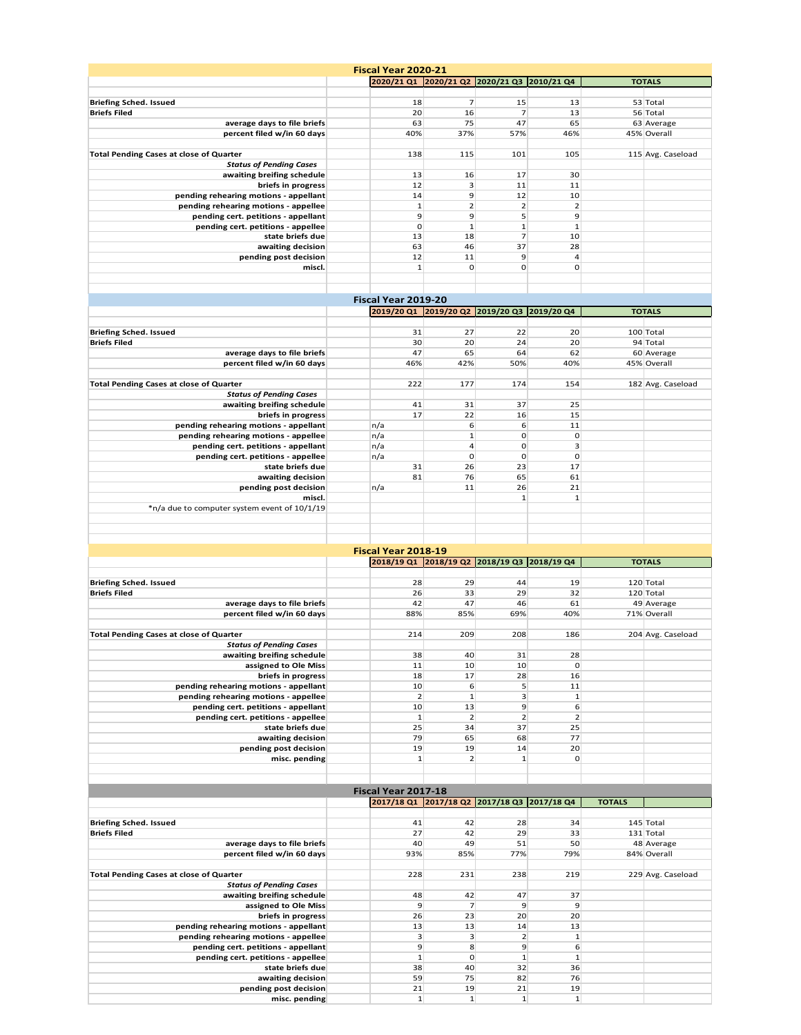|                                                                           | <b>Fiscal Year 2020-21</b>                  |                                |                    |                    |               |                   |
|---------------------------------------------------------------------------|---------------------------------------------|--------------------------------|--------------------|--------------------|---------------|-------------------|
|                                                                           | 2020/21 Q1 2020/21 Q2 2020/21 Q3 2010/21 Q4 |                                |                    |                    |               | <b>TOTALS</b>     |
|                                                                           |                                             |                                |                    |                    |               |                   |
| <b>Briefing Sched. Issued</b>                                             | 18                                          | $\overline{7}$                 | 15                 | 13                 |               | 53 Total          |
| <b>Briefs Filed</b>                                                       | 20                                          | 16                             | 7                  | 13                 |               | 56 Total          |
| average days to file briefs                                               | 63                                          | 75                             | 47                 | 65                 |               | 63 Average        |
| percent filed w/in 60 days                                                | 40%                                         | 37%                            | 57%                | 46%                |               | 45% Overall       |
| <b>Total Pending Cases at close of Quarter</b>                            | 138                                         | 115                            | 101                | 105                |               | 115 Avg. Caseload |
| <b>Status of Pending Cases</b>                                            |                                             |                                |                    |                    |               |                   |
| awaiting breifing schedule                                                | 13                                          | 16                             | 17                 | 30                 |               |                   |
| briefs in progress                                                        | 12                                          | 3                              | 11                 | 11                 |               |                   |
| pending rehearing motions - appellant                                     | 14                                          | 9                              | 12                 | 10                 |               |                   |
| pending rehearing motions - appellee                                      | $\mathbf{1}$                                | $\overline{2}$                 | 2                  | $\overline{2}$     |               |                   |
| pending cert. petitions - appellant                                       | 9                                           | 9                              | 5                  | 9                  |               |                   |
| pending cert. petitions - appellee                                        | $\mathbf{O}$                                | $\mathbf{1}$                   | $\mathbf{1}$       | $\mathbf{1}$       |               |                   |
| state briefs due                                                          | 13                                          | 18                             | $\overline{7}$     | 10                 |               |                   |
| awaiting decision                                                         | 63                                          | 46                             | 37                 | 28                 |               |                   |
| pending post decision                                                     | 12                                          | 11                             | 9                  | $\overline{a}$     |               |                   |
| miscl.                                                                    | $\mathbf{1}$                                | 0                              | $\mathbf 0$        | $\mathbf 0$        |               |                   |
|                                                                           |                                             |                                |                    |                    |               |                   |
|                                                                           | Fiscal Year 2019-20                         |                                |                    |                    |               |                   |
|                                                                           | 2019/20 Q1 2019/20 Q2 2019/20 Q3 2019/20 Q4 |                                |                    |                    |               | <b>TOTALS</b>     |
|                                                                           |                                             |                                |                    |                    |               |                   |
| <b>Briefing Sched. Issued</b>                                             | 31                                          | 27                             | 22                 | 20                 |               | 100 Total         |
| <b>Briefs Filed</b>                                                       | 30                                          | 20                             | 24                 | 20                 |               | 94 Total          |
| average days to file briefs                                               | 47                                          | 65                             | 64                 | 62                 |               | 60 Average        |
| percent filed w/in 60 days                                                | 46%                                         | 42%                            | 50%                | 40%                |               | 45% Overall       |
|                                                                           |                                             |                                |                    |                    |               |                   |
| <b>Total Pending Cases at close of Quarter</b>                            | 222                                         | 177                            | 174                | 154                |               | 182 Avg. Caseload |
| <b>Status of Pending Cases</b>                                            |                                             |                                |                    |                    |               |                   |
| awaiting breifing schedule                                                | 41                                          | 31                             | 37                 | 25                 |               |                   |
| briefs in progress                                                        | 17                                          | 22                             | 16                 | 15                 |               |                   |
| pending rehearing motions - appellant                                     | n/a                                         | 6                              | 6<br>$\mathbf 0$   | 11                 |               |                   |
| pending rehearing motions - appellee                                      | n/a<br>n/a                                  | $\mathbf{1}$<br>$\overline{a}$ | $\mathbf 0$        | $\mathbf 0$<br>3   |               |                   |
| pending cert. petitions - appellant<br>pending cert. petitions - appellee | n/a                                         | $\mathbf 0$                    | $\mathbf 0$        | $\mathbf 0$        |               |                   |
| state briefs due                                                          | 31                                          | 26                             | 23                 | 17                 |               |                   |
| awaiting decision                                                         | 81                                          | 76                             | 65                 | 61                 |               |                   |
| pending post decision                                                     | n/a                                         | 11                             | 26                 | 21                 |               |                   |
| miscl.                                                                    |                                             |                                | $\mathbf{1}$       | 1                  |               |                   |
| *n/a due to computer system event of 10/1/19                              |                                             |                                |                    |                    |               |                   |
|                                                                           |                                             |                                |                    |                    |               |                   |
|                                                                           |                                             |                                |                    |                    |               |                   |
|                                                                           |                                             |                                |                    |                    |               |                   |
|                                                                           |                                             |                                |                    |                    |               |                   |
|                                                                           | Fiscal Year 2018-19                         |                                |                    |                    |               |                   |
|                                                                           | 2018/19 Q1 2018/19 Q2 2018/19 Q3 2018/19 Q4 |                                |                    |                    |               | <b>TOTALS</b>     |
|                                                                           |                                             |                                |                    |                    |               |                   |
| <b>Briefing Sched. Issued</b>                                             | 28                                          | 29                             | 44                 | 19                 |               | 120 Total         |
| <b>Briefs Filed</b>                                                       | 26                                          | 33                             | 29                 | 32                 |               | 120 Total         |
| average days to file briefs                                               | 42                                          | 47                             | 46                 | 61                 |               | 49 Average        |
| percent filed w/in 60 days                                                | 88%                                         | 85%                            | 69%                | 40%                |               | 71% Overall       |
| <b>Total Pending Cases at close of Quarter</b>                            | 214                                         | 209                            | 208                | 186                |               |                   |
| <b>Status of Pending Cases</b>                                            |                                             |                                |                    |                    |               | 204 Avg. Caseload |
| awaiting breifing schedule                                                | 38                                          | 40                             | 31                 | 28                 |               |                   |
| assigned to Ole Miss                                                      | 11                                          | 10                             | 10                 | $\mathbf 0$        |               |                   |
| briefs in progress                                                        | 18                                          | 17                             | 28                 | 16                 |               |                   |
| pending rehearing motions - appellant                                     | 10                                          | 6                              | 5                  | 11                 |               |                   |
| pending rehearing motions - appellee                                      | $\mathbf 2$                                 | $\mathbf{1}$                   | $\mathbf{3}$       | $\mathbf{1}$       |               |                   |
| pending cert. petitions - appellant                                       | 10                                          | 13                             | 9                  | 6                  |               |                   |
| pending cert. petitions - appellee                                        | $\mathbf{1}$                                | $\overline{2}$                 | $\overline{2}$     | $\overline{2}$     |               |                   |
| state briefs due<br>awaiting decision                                     | 25<br>79                                    | 34                             | 37<br>68           | 25<br>77           |               |                   |
| pending post decision                                                     | 19                                          | 65<br>19                       | 14                 | 20                 |               |                   |
| misc. pending                                                             | $\mathbf{1}$                                | $\overline{2}$                 | $\mathbf{1}$       | $\mathbf 0$        |               |                   |
|                                                                           |                                             |                                |                    |                    |               |                   |
|                                                                           |                                             |                                |                    |                    |               |                   |
|                                                                           | Fiscal Year 2017-18                         |                                |                    |                    |               |                   |
|                                                                           | 2017/18 Q1 2017/18 Q2 2017/18 Q3 2017/18 Q4 |                                |                    |                    | <b>TOTALS</b> |                   |
|                                                                           |                                             |                                |                    |                    |               |                   |
| <b>Briefing Sched. Issued</b>                                             | 41                                          | 42                             | 28                 | 34                 |               | 145 Total         |
| <b>Briefs Filed</b>                                                       | 27                                          | 42                             | 29                 | 33                 |               | 131 Total         |
| average days to file briefs                                               | 40                                          | 49                             | 51                 | 50                 |               | 48 Average        |
| percent filed w/in 60 days                                                | 93%                                         | 85%                            | 77%                | 79%                |               | 84% Overall       |
|                                                                           |                                             |                                |                    |                    |               |                   |
| <b>Total Pending Cases at close of Quarter</b>                            | 228                                         | 231                            | 238                | 219                |               | 229 Avg. Caseload |
| <b>Status of Pending Cases</b><br>awaiting breifing schedule              | 48                                          | 42                             | 47                 | 37                 |               |                   |
| assigned to Ole Miss                                                      | 9                                           | 7                              | 9                  | 9                  |               |                   |
| briefs in progress                                                        | 26                                          | 23                             | 20                 | 20                 |               |                   |
| pending rehearing motions - appellant                                     | 13                                          | 13                             | 14                 | 13                 |               |                   |
| pending rehearing motions - appellee                                      | 3                                           | 3                              | $\overline{2}$     | 1                  |               |                   |
| pending cert. petitions - appellant                                       | 9                                           | 8                              | 9                  | 6                  |               |                   |
| pending cert. petitions - appellee                                        | $\mathbf{1}$                                | 0                              | $\mathbf 1$        | $\mathbf 1$        |               |                   |
| state briefs due                                                          | 38                                          | 40                             | 32                 | 36                 |               |                   |
| awaiting decision                                                         | 59                                          | 75                             | 82                 | 76                 |               |                   |
| pending post decision<br>misc. pending                                    | 21<br>$\mathbf{1}$                          | 19<br>$\mathbf{1}$             | 21<br>$\mathbf{1}$ | 19<br>$\mathbf{1}$ |               |                   |